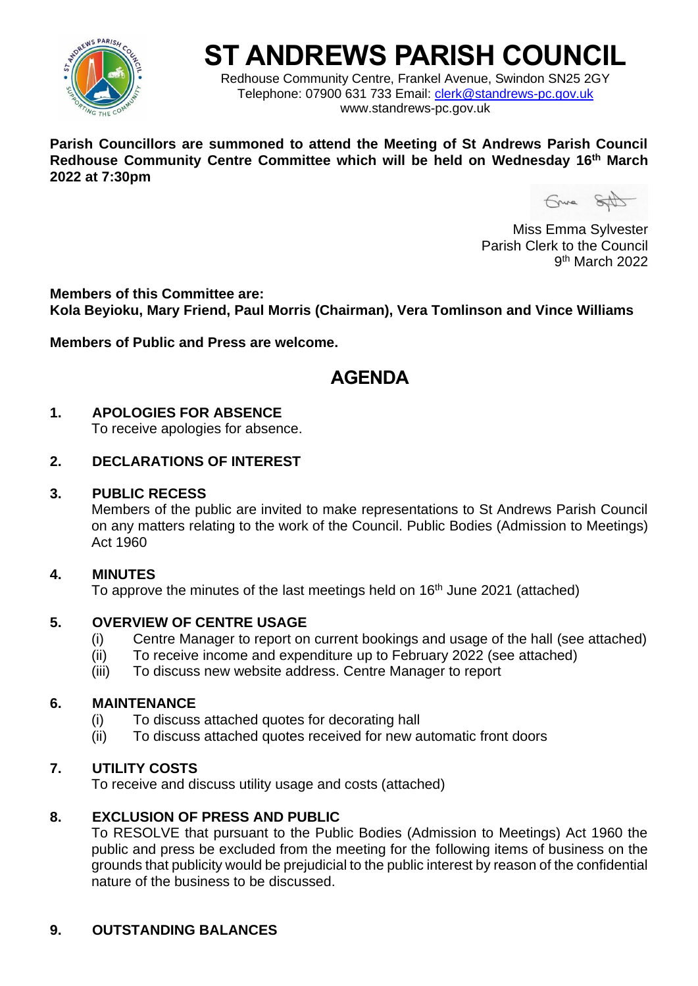

# **ST ANDREWS PARISH COUNCIL**

Redhouse Community Centre, Frankel Avenue, Swindon SN25 2GY Telephone: 07900 631 733 Email: [clerk@standrews-pc.gov.uk](mailto:clerk@standrews-pc.gov.uk) www.standrews-pc.gov.uk

**Parish Councillors are summoned to attend the Meeting of St Andrews Parish Council Redhouse Community Centre Committee which will be held on Wednesday 16th March 2022 at 7:30pm** 

Gruna SAD

Miss Emma Sylvester Parish Clerk to the Council 9<sup>th</sup> March 2022

**Members of this Committee are: Kola Beyioku, Mary Friend, Paul Morris (Chairman), Vera Tomlinson and Vince Williams**

**Members of Public and Press are welcome.**

## **AGENDA**

### **1. APOLOGIES FOR ABSENCE**

To receive apologies for absence.

### **2. DECLARATIONS OF INTEREST**

#### **3. PUBLIC RECESS**

Members of the public are invited to make representations to St Andrews Parish Council on any matters relating to the work of the Council. Public Bodies (Admission to Meetings) Act 1960

### **4. MINUTES**

To approve the minutes of the last meetings held on 16<sup>th</sup> June 2021 (attached)

### **5. OVERVIEW OF CENTRE USAGE**

- (i) Centre Manager to report on current bookings and usage of the hall (see attached)
- (ii) To receive income and expenditure up to February 2022 (see attached)
- (iii) To discuss new website address. Centre Manager to report

### **6. MAINTENANCE**

- (i) To discuss attached quotes for decorating hall
- (ii) To discuss attached quotes received for new automatic front doors

### **7. UTILITY COSTS**

To receive and discuss utility usage and costs (attached)

### **8. EXCLUSION OF PRESS AND PUBLIC**

To RESOLVE that pursuant to the Public Bodies (Admission to Meetings) Act 1960 the public and press be excluded from the meeting for the following items of business on the grounds that publicity would be prejudicial to the public interest by reason of the confidential nature of the business to be discussed.

### **9. OUTSTANDING BALANCES**